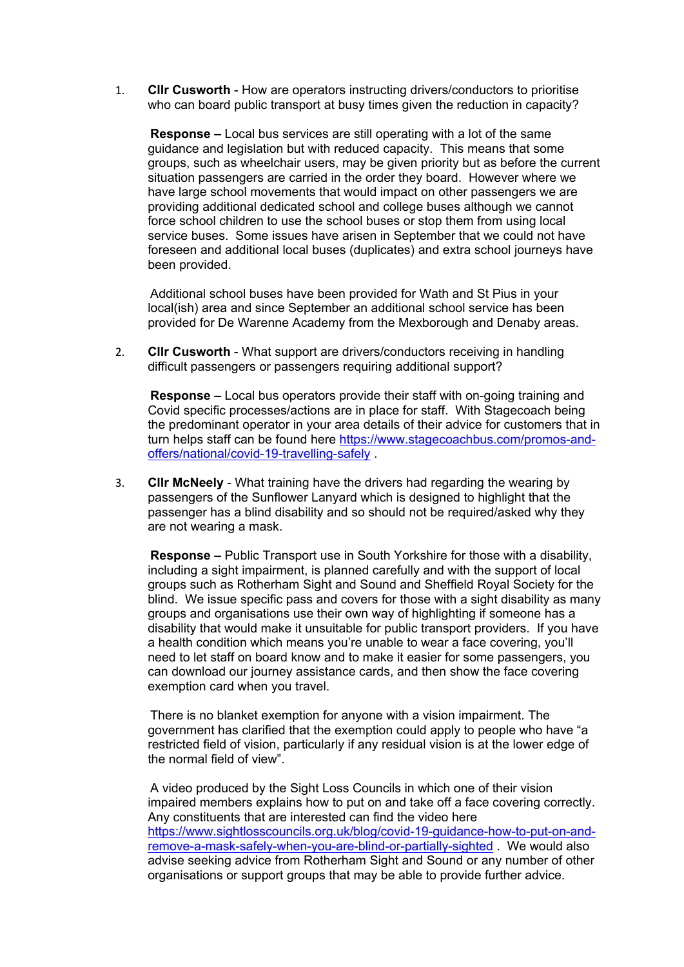1. **Cllr Cusworth** - How are operators instructing drivers/conductors to prioritise who can board public transport at busy times given the reduction in capacity?

**Response –** Local bus services are still operating with a lot of the same guidance and legislation but with reduced capacity. This means that some groups, such as wheelchair users, may be given priority but as before the current situation passengers are carried in the order they board. However where we have large school movements that would impact on other passengers we are providing additional dedicated school and college buses although we cannot force school children to use the school buses or stop them from using local service buses. Some issues have arisen in September that we could not have foreseen and additional local buses (duplicates) and extra school journeys have been provided.

Additional school buses have been provided for Wath and St Pius in your local(ish) area and since September an additional school service has been provided for De Warenne Academy from the Mexborough and Denaby areas.

2. **Cllr Cusworth** - What support are drivers/conductors receiving in handling difficult passengers or passengers requiring additional support?

**Response –** Local bus operators provide their staff with on-going training and Covid specific processes/actions are in place for staff. With Stagecoach being the predominant operator in your area details of their advice for customers that in turn helps staff can be found here [https://www.stagecoachbus.com/promos-and](https://eur02.safelinks.protection.outlook.com/?url=https%3A%2F%2Fwww.stagecoachbus.com%2Fpromos-and-offers%2Fnational%2Fcovid-19-travelling-safely&data=02%7C01%7CMartin.Elliott%40rotherham.gov.uk%7Cf07b8449f5a14f28ee9408d85dff3483%7C46fbe6fd78ae47699c1dbcea97378af6%7C0%7C0%7C637362697957737041&sdata=Nt7cl%2FQNHLpiETy4jCyKyC%2F2ehcf%2Bn0eyhTIvI4EsJY%3D&reserved=0)[offers/national/covid-19-travelling-safely](https://eur02.safelinks.protection.outlook.com/?url=https%3A%2F%2Fwww.stagecoachbus.com%2Fpromos-and-offers%2Fnational%2Fcovid-19-travelling-safely&data=02%7C01%7CMartin.Elliott%40rotherham.gov.uk%7Cf07b8449f5a14f28ee9408d85dff3483%7C46fbe6fd78ae47699c1dbcea97378af6%7C0%7C0%7C637362697957737041&sdata=Nt7cl%2FQNHLpiETy4jCyKyC%2F2ehcf%2Bn0eyhTIvI4EsJY%3D&reserved=0) .

3. **Cllr McNeely** - What training have the drivers had regarding the wearing by passengers of the Sunflower Lanyard which is designed to highlight that the passenger has a blind disability and so should not be required/asked why they are not wearing a mask.

**Response –** Public Transport use in South Yorkshire for those with a disability, including a sight impairment, is planned carefully and with the support of local groups such as Rotherham Sight and Sound and Sheffield Royal Society for the blind. We issue specific pass and covers for those with a sight disability as many groups and organisations use their own way of highlighting if someone has a disability that would make it unsuitable for public transport providers. If you have a health condition which means you're unable to wear a face covering, you'll need to let staff on board know and to make it easier for some passengers, you can download our journey assistance cards, and then show the face covering exemption card when you travel.

There is no blanket exemption for anyone with a vision impairment. The government has clarified that the exemption could apply to people who have "a restricted field of vision, particularly if any residual vision is at the lower edge of the normal field of view".

A video produced by the Sight Loss Councils in which one of their vision impaired members explains how to put on and take off a face covering correctly. Any constituents that are interested can find the video here [https://www.sightlosscouncils.org.uk/blog/covid-19-guidance-how-to-put-on-and](https://eur02.safelinks.protection.outlook.com/?url=https%3A%2F%2Fwww.sightlosscouncils.org.uk%2Fblog%2Fcovid-19-guidance-how-to-put-on-and-remove-a-mask-safely-when-you-are-blind-or-partially-sighted&data=02%7C01%7CMartin.Elliott%40rotherham.gov.uk%7Cf07b8449f5a14f28ee9408d85dff3483%7C46fbe6fd78ae47699c1dbcea97378af6%7C0%7C0%7C637362697957737041&sdata=TZL8ukrLb5AWoaQ76Q5SThoJu0BUCwFH3t0nWEKcpUk%3D&reserved=0)[remove-a-mask-safely-when-you-are-blind-or-partially-sighted](https://eur02.safelinks.protection.outlook.com/?url=https%3A%2F%2Fwww.sightlosscouncils.org.uk%2Fblog%2Fcovid-19-guidance-how-to-put-on-and-remove-a-mask-safely-when-you-are-blind-or-partially-sighted&data=02%7C01%7CMartin.Elliott%40rotherham.gov.uk%7Cf07b8449f5a14f28ee9408d85dff3483%7C46fbe6fd78ae47699c1dbcea97378af6%7C0%7C0%7C637362697957737041&sdata=TZL8ukrLb5AWoaQ76Q5SThoJu0BUCwFH3t0nWEKcpUk%3D&reserved=0) . We would also advise seeking advice from Rotherham Sight and Sound or any number of other organisations or support groups that may be able to provide further advice.